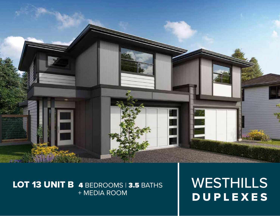

# LOT 13 UNIT B 4 BEDROOMS | 3.5 BATHS + MEDIA ROOM

WESTHILLS DUPLEXES